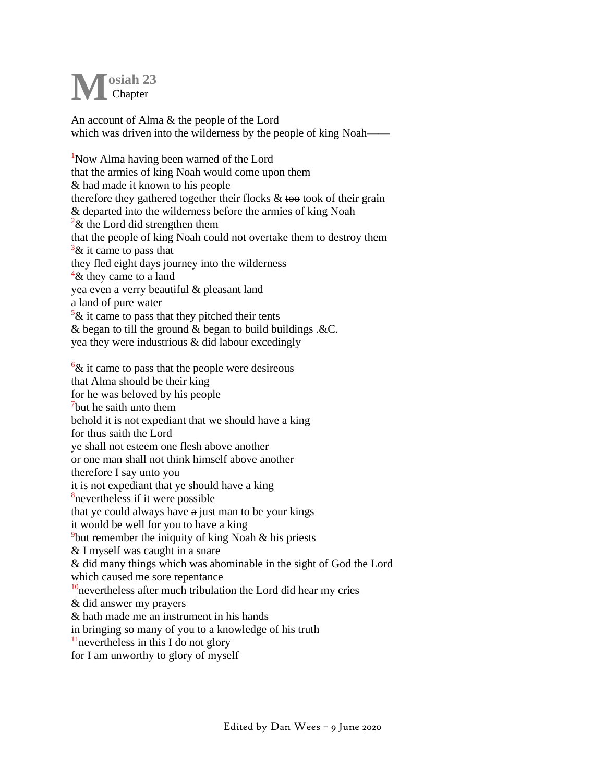## **osiah 23 Chapter M**

An account of Alma & the people of the Lord which was driven into the wilderness by the people of king Noah—

<sup>1</sup>Now Alma having been warned of the Lord that the armies of king Noah would come upon them & had made it known to his people therefore they gathered together their flocks  $\&$  took of their grain & departed into the wilderness before the armies of king Noah  $2\&$  the Lord did strengthen them that the people of king Noah could not overtake them to destroy them  $\frac{3}{8}$  it came to pass that they fled eight days journey into the wilderness  $4\&$  they came to a land yea even a verry beautiful & pleasant land a land of pure water  $\frac{5}{x}$  it came to pass that they pitched their tents & began to till the ground & began to build buildings .&C. yea they were industrious & did labour excedingly

 $\frac{6}{x}$  it came to pass that the people were desireous that Alma should be their king for he was beloved by his people <sup>7</sup>but he saith unto them behold it is not expediant that we should have a king for thus saith the Lord ye shall not esteem one flesh above another or one man shall not think himself above another therefore I say unto you it is not expediant that ye should have a king <sup>8</sup>nevertheless if it were possible that ye could always have a just man to be your kings it would be well for you to have a king <sup>9</sup>but remember the iniquity of king Noah  $\&$  his priests & I myself was caught in a snare & did many things which was abominable in the sight of God the Lord which caused me sore repentance  $10$ nevertheless after much tribulation the Lord did hear my cries & did answer my prayers & hath made me an instrument in his hands in bringing so many of you to a knowledge of his truth  $<sup>11</sup>$ nevertheless in this I do not glory</sup> for I am unworthy to glory of myself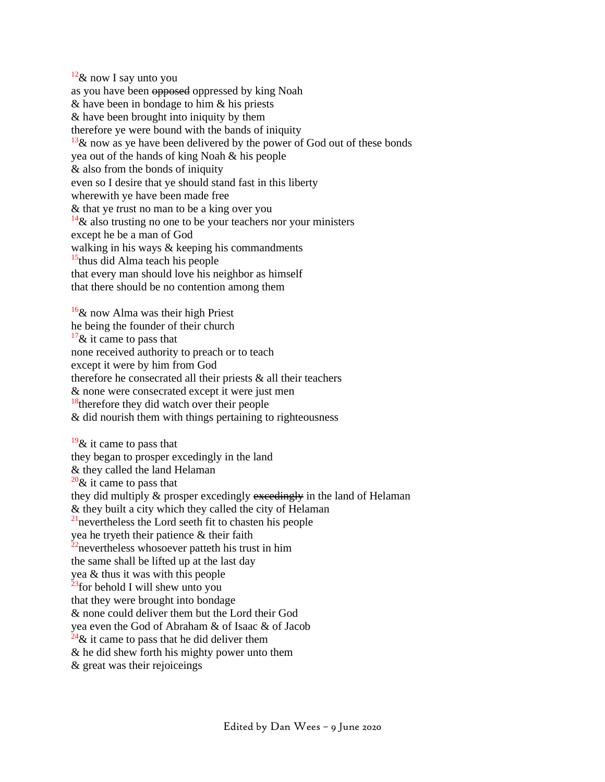$12\&$  now I say unto you as you have been opposed oppressed by king Noah & have been in bondage to him & his priests & have been brought into iniquity by them therefore ye were bound with the bands of iniquity  $13\&$  now as ye have been delivered by the power of God out of these bonds yea out of the hands of king Noah & his people & also from the bonds of iniquity even so I desire that ye should stand fast in this liberty wherewith ye have been made free & that ye *t*rust no man to be a king over you  $14\&$  also trusting no one to be your teachers nor your ministers except he be a man of God walking in his ways & keeping his commandments  $15$ thus did Alma teach his people that every man should love his neighbor as himself that there should be no contention among them

 $16\&$  now Alma was their high Priest he being the founder of their church  $17\&$  it came to pass that none received authority to preach or to teach except it were by him from God therefore he consecrated all their priests  $\&$  all their teachers & none were consecrated except it were just men  $18$ <sup>18</sup>therefore they did watch over their people & did nourish them with things pertaining to righteousness

 $19\&$  it came to pass that they began to prosper excedingly in the land & they called the land Helaman  $20\&$  it came to pass that they did multiply & prosper excedingly excedingly in the land of Helaman & they built a city which they called the city of Helaman  $^{21}$ nevertheless the Lord seeth fit to chasten his people yea he tryeth their patience & their faith  $22$ nevertheless whosoever patteth his trust in him the same shall be lifted up at the last day yea & thus it was with this people  $23$ for behold I will shew unto you that they were brought into bondage & none could deliver them but the Lord their God yea even the God of Abraham & of Isaac & of Jacob  $^{24}$ & it came to pass that he did deliver them & he did shew forth his mighty power unto them & great was their rejoiceings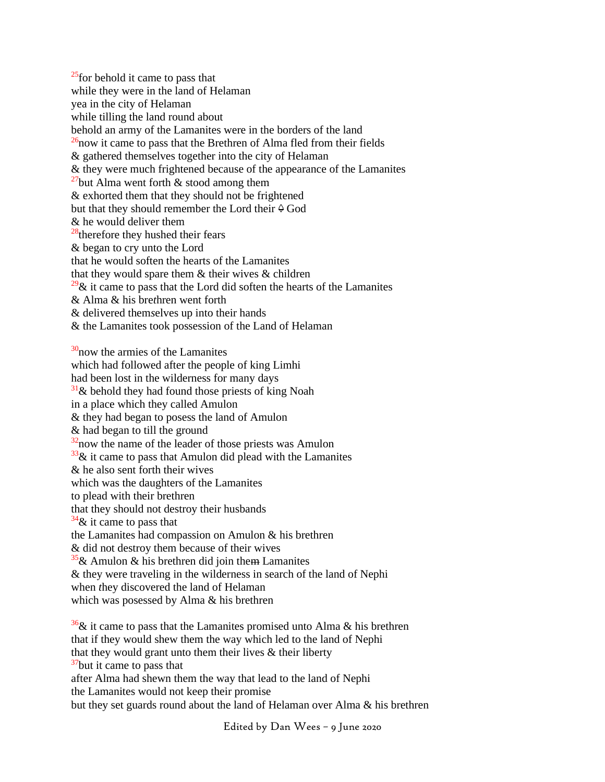$^{25}$ for behold it came to pass that while they were in the land of Helaman yea in the city of Helaman while tilling the land round about behold an army of the Lamanites were in the borders of the land  $^{26}$ now it came to pass that the Brethren of Alma fled from their fields & gathered themselves together into the city of Helaman & they were much frightened because of the appearance of the Lamanites  $27$ but Alma went forth & stood among them & exhorted them that they should not be frightened but that they should remember the Lord their  $\Diamond$  God & he would deliver them  $28$ <sup>therefore they hushed their fears</sup> & began to cry unto the Lord that he would soften the hearts of the Lamanites that they would spare them  $&$  their wives  $&$  children  $29\&$  it came to pass that the Lord did soften the hearts of the Lamanites & Alma & his bre*t*hren went forth & delivered them*s*elves up into their hands & the Lamanites took possession of the Land of Helaman  $30$ now the armies of the Lamanites which had followed after the people of king Limhi had been lost in the wilderness for many days  $31\&$  behold they had found those priests of king Noah in a place which they called Amulon & they had began to posess the land of Amulon & had began to till the ground  $32$ now the name of the leader of those priests was Amulon  $33\%$  it came to pass that Amulon did plead with the Lamanites & he also sent forth their wives which was the daughters of the Lamanites to plead with their brethren

that they should not destroy their husbands

 $34\&$  it came to pass that

the Lamanites had compassion on Amulon & his brethren

& did not destroy them because of their wives

 $35\&$  Amulon & his brethren did join them Lamanites

& they were traveling in the wilderness in search of the land of Nephi

when *t*hey discovered the land of Helaman

which was posessed by Alma & his brethren

 $\frac{36}{36}$ & it came to pass that the Lamanites promised unto Alma & his brethren that if they would shew them the way which led to the land of Nephi that they would grant unto them their lives & their liberty  $37$ but it came to pass that after Alma had shewn them the way that lead to the land of Nephi the Lamanites would not keep their promise but they set guards round about the land of Helaman over Alma & his brethren